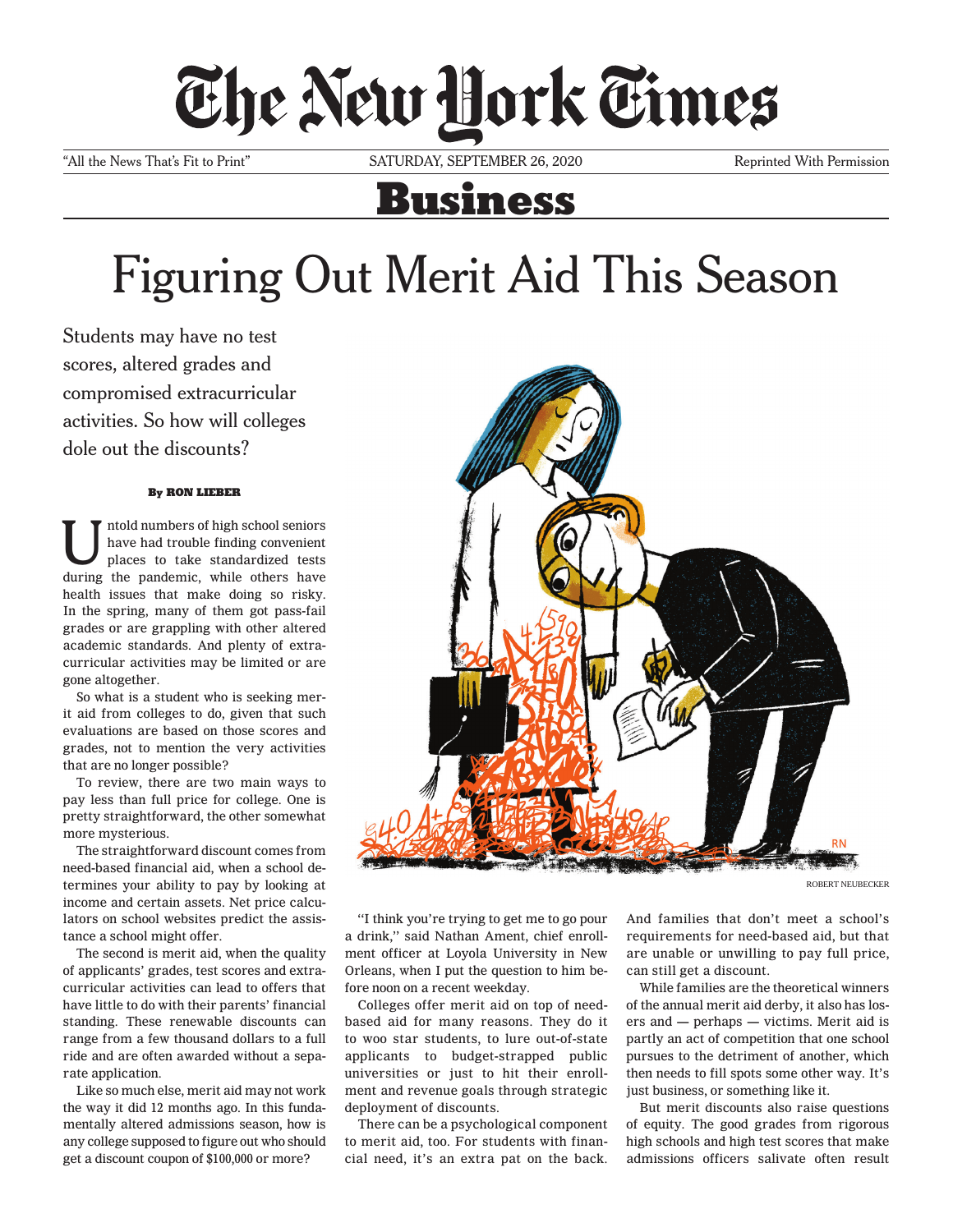## The New Hork Times

"All the News That's Fit to Print" SATURDAY, SEPTEMBER 26, 2020 Reprinted With Permission

## Business

## Figuring Out Merit Aid This Season

Students may have no test scores, altered grades and compromised extracurricular activities. So how will colleges dole out the discounts?

## By RON LIEBER

Untold numbers of high school seniors<br>have had trouble finding convenient<br>places to take standardized tests have had trouble finding convenient during the pandemic, while others have health issues that make doing so risky. In the spring, many of them got pass-fail grades or are grappling with other altered academic standards. And plenty of extracurricular activities may be limited or are gone altogether.

So what is a student who is seeking merit aid from colleges to do, given that such evaluations are based on those scores and grades, not to mention the very activities that are no longer possible?

To review, there are two main ways to pay less than full price for college. One is pretty straightforward, the other somewhat more mysterious.

The straightforward discount comes from need-based financial aid, when a school determines your ability to pay by looking at income and certain assets. Net price calculators on school websites predict the assistance a school might offer.

The second is merit aid, when the quality of applicants' grades, test scores and extracurricular activities can lead to offers that have little to do with their parents' financial standing. These renewable discounts can range from a few thousand dollars to a full ride and are often awarded without a separate application.

Like so much else, merit aid may not work the way it did 12 months ago. In this fundamentally altered admissions season, how is any college supposed to figure out who should get a discount coupon of \$100,000 or more?



ROBERT NEUBECKER

"I think you're trying to get me to go pour a drink," said Nathan Ament, chief enrollment officer at Loyola University in New Orleans, when I put the question to him before noon on a recent weekday.

Colleges offer merit aid on top of needbased aid for many reasons. They do it to woo star students, to lure out-of-state applicants to budget-strapped public universities or just to hit their enrollment and revenue goals through strategic deployment of discounts.

There can be a psychological component to merit aid, too. For students with financial need, it's an extra pat on the back. And families that don't meet a school's requirements for need-based aid, but that are unable or unwilling to pay full price, can still get a discount.

While families are the theoretical winners of the annual merit aid derby, it also has losers and — perhaps — victims. Merit aid is partly an act of competition that one school pursues to the detriment of another, which then needs to fill spots some other way. It's just business, or something like it.

But merit discounts also raise questions of equity. The good grades from rigorous high schools and high test scores that make admissions officers salivate often result